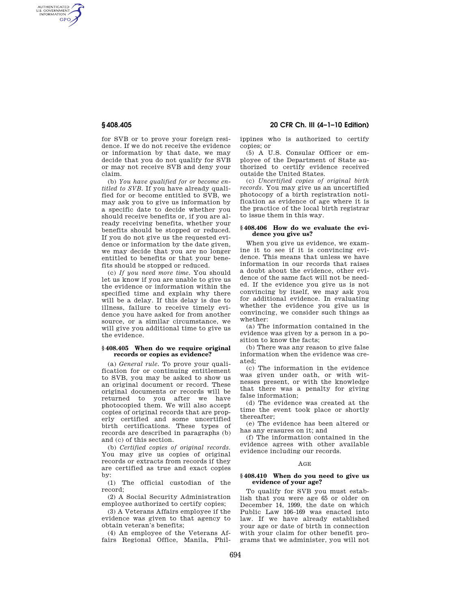AUTHENTICATED<br>U.S. GOVERNMENT<br>INFORMATION GPO

> for SVB or to prove your foreign residence. If we do not receive the evidence or information by that date, we may decide that you do not qualify for SVB or may not receive SVB and deny your claim.

> (b) *You have qualified for or become entitled to SVB.* If you have already qualified for or become entitled to SVB, we may ask you to give us information by a specific date to decide whether you should receive benefits or, if you are already receiving benefits, whether your benefits should be stopped or reduced. If you do not give us the requested evidence or information by the date given, we may decide that you are no longer entitled to benefits or that your benefits should be stopped or reduced.

> (c) *If you need more time.* You should let us know if you are unable to give us the evidence or information within the specified time and explain why there will be a delay. If this delay is due to illness, failure to receive timely evidence you have asked for from another source, or a similar circumstance, we will give you additional time to give us the evidence.

# **§ 408.405 When do we require original records or copies as evidence?**

(a) *General rule.* To prove your qualification for or continuing entitlement to SVB, you may be asked to show us an original document or record. These original documents or records will be returned to you after we have photocopied them. We will also accept copies of original records that are properly certified and some uncertified birth certifications. These types of records are described in paragraphs (b) and (c) of this section.

(b) *Certified copies of original records.*  You may give us copies of original records or extracts from records if they are certified as true and exact copies by:

(1) The official custodian of the record;

(2) A Social Security Administration employee authorized to certify copies;

(3) A Veterans Affairs employee if the evidence was given to that agency to obtain veteran's benefits;

(4) An employee of the Veterans Affairs Regional Office, Manila, Phil-

# **§ 408.405 20 CFR Ch. III (4–1–10 Edition)**

ippines who is authorized to certify copies; or

(5) A U.S. Consular Officer or employee of the Department of State authorized to certify evidence received outside the United States.

(c) *Uncertified copies of original birth records.* You may give us an uncertified photocopy of a birth registration notification as evidence of age where it is the practice of the local birth registrar to issue them in this way.

# **§ 408.406 How do we evaluate the evidence you give us?**

When you give us evidence, we examine it to see if it is convincing evidence. This means that unless we have information in our records that raises a doubt about the evidence, other evidence of the same fact will not be needed. If the evidence you give us is not convincing by itself, we may ask you for additional evidence. In evaluating whether the evidence you give us is convincing, we consider such things as whether:

(a) The information contained in the evidence was given by a person in a position to know the facts;

(b) There was any reason to give false information when the evidence was created;

(c) The information in the evidence was given under oath, or with witnesses present, or with the knowledge that there was a penalty for giving false information;

(d) The evidence was created at the time the event took place or shortly thereafter;

(e) The evidence has been altered or has any erasures on it; and

(f) The information contained in the evidence agrees with other available evidence including our records.

### AGE

## **§ 408.410 When do you need to give us evidence of your age?**

To qualify for SVB you must establish that you were age 65 or older on December 14, 1999, the date on which Public Law 106–169 was enacted into law. If we have already established your age or date of birth in connection with your claim for other benefit programs that we administer, you will not